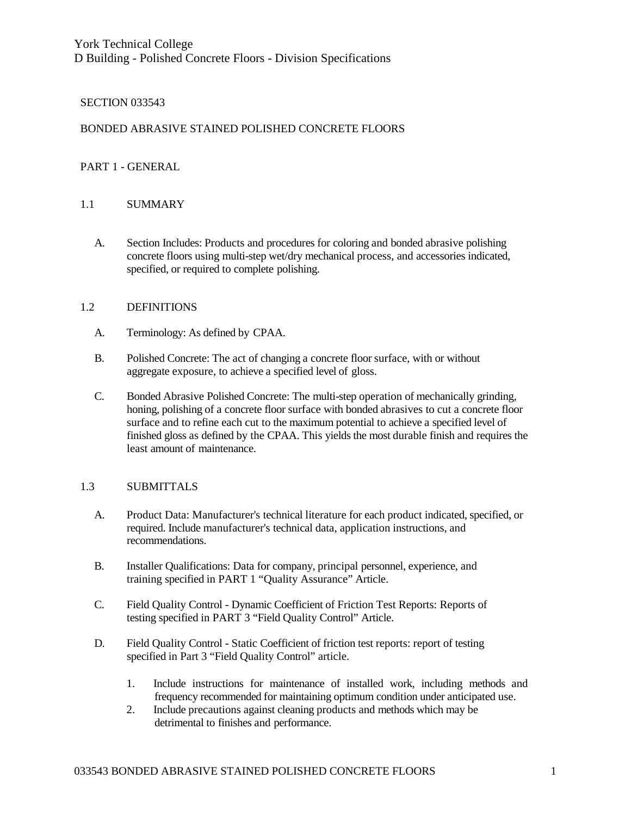York Technical College D Building - Polished Concrete Floors - Division Specifications

#### SECTION 033543

#### BONDED ABRASIVE STAINED POLISHED CONCRETE FLOORS

#### PART 1 - GENERAL

### 1.1 SUMMARY

A. Section Includes: Products and procedures for coloring and bonded abrasive polishing concrete floors using multi-step wet/dry mechanical process, and accessories indicated, specified, or required to complete polishing.

#### 1.2 DEFINITIONS

- A. Terminology: As defined by CPAA.
- B. Polished Concrete: The act of changing a concrete floor surface, with or without aggregate exposure, to achieve a specified level of gloss.
- C. Bonded Abrasive Polished Concrete: The multi-step operation of mechanically grinding, honing, polishing of a concrete floor surface with bonded abrasives to cut a concrete floor surface and to refine each cut to the maximum potential to achieve a specified level of finished gloss as defined by the CPAA. This yields the most durable finish and requires the least amount of maintenance.

#### 1.3 SUBMITTALS

- A. Product Data: Manufacturer's technical literature for each product indicated, specified, or required. Include manufacturer's technical data, application instructions, and recommendations.
- B. Installer Qualifications: Data for company, principal personnel, experience, and training specified in PART 1 "Quality Assurance" Article.
- C. Field Quality Control Dynamic Coefficient of Friction Test Reports: Reports of testing specified in PART 3 "Field Quality Control" Article.
- D. Field Quality Control Static Coefficient of friction test reports: report of testing specified in Part 3 "Field Quality Control" article.
	- 1. Include instructions for maintenance of installed work, including methods and frequency recommended for maintaining optimum condition under anticipated use.
	- 2. Include precautions against cleaning products and methods which may be detrimental to finishes and performance.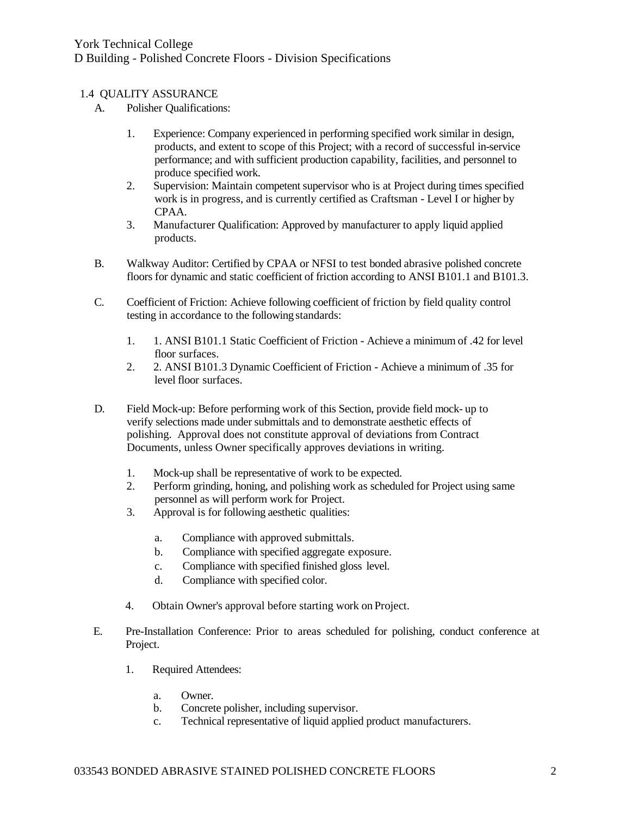## 1.4 QUALITY ASSURANCE

- A. Polisher Qualifications:
	- 1. Experience: Company experienced in performing specified work similar in design, products, and extent to scope of this Project; with a record of successful in-service performance; and with sufficient production capability, facilities, and personnel to produce specified work.
	- 2. Supervision: Maintain competent supervisor who is at Project during times specified work is in progress, and is currently certified as Craftsman - Level I or higher by CPAA.
	- 3. Manufacturer Qualification: Approved by manufacturer to apply liquid applied products.
- B. Walkway Auditor: Certified by CPAA or NFSI to test bonded abrasive polished concrete floors for dynamic and static coefficient of friction according to ANSI B101.1 and B101.3.
- C. Coefficient of Friction: Achieve following coefficient of friction by field quality control testing in accordance to the following standards:
	- 1. 1. ANSI B101.1 Static Coefficient of Friction Achieve a minimum of .42 for level floor surfaces.
	- 2. 2. ANSI B101.3 Dynamic Coefficient of Friction Achieve a minimum of .35 for level floor surfaces.
- D. Field Mock-up: Before performing work of this Section, provide field mock- up to verify selections made under submittals and to demonstrate aesthetic effects of polishing. Approval does not constitute approval of deviations from Contract Documents, unless Owner specifically approves deviations in writing.
	- 1. Mock-up shall be representative of work to be expected.
	- 2. Perform grinding, honing, and polishing work as scheduled for Project using same personnel as will perform work for Project.
	- 3. Approval is for following aesthetic qualities:
		- a. Compliance with approved submittals.
		- b. Compliance with specified aggregate exposure.
		- c. Compliance with specified finished gloss level.
		- d. Compliance with specified color.
	- 4. Obtain Owner's approval before starting work on Project.
- E. Pre-Installation Conference: Prior to areas scheduled for polishing, conduct conference at Project.
	- 1. Required Attendees:
		- a. Owner.
		- b. Concrete polisher, including supervisor.
		- c. Technical representative of liquid applied product manufacturers.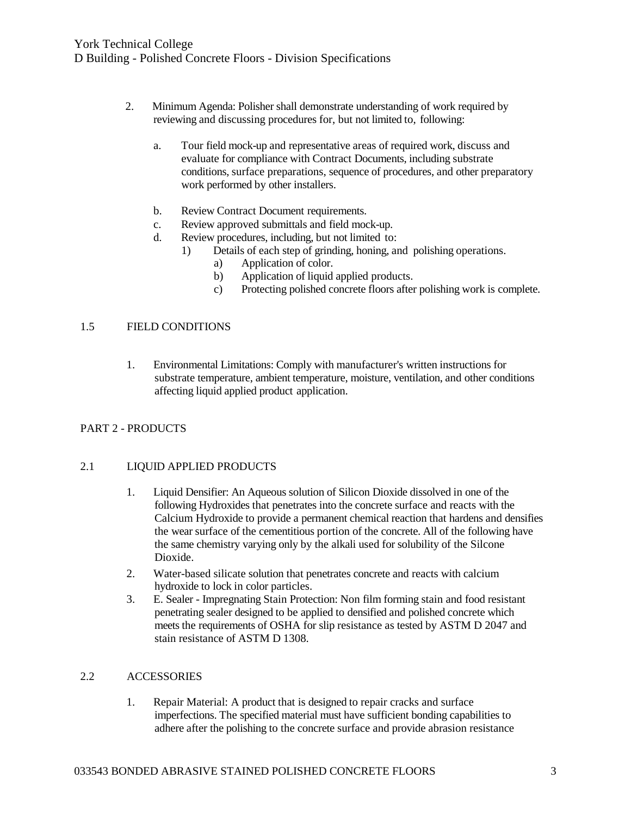- 2. Minimum Agenda: Polisher shall demonstrate understanding of work required by reviewing and discussing procedures for, but not limited to, following:
	- a. Tour field mock-up and representative areas of required work, discuss and evaluate for compliance with Contract Documents, including substrate conditions, surface preparations, sequence of procedures, and other preparatory work performed by other installers.
	- b. Review Contract Document requirements.
	- c. Review approved submittals and field mock-up.
	- d. Review procedures, including, but not limited to:
		- 1) Details of each step of grinding, honing, and polishing operations.
			- a) Application of color.
			- b) Application of liquid applied products.
			- c) Protecting polished concrete floors after polishing work is complete.

#### 1.5 FIELD CONDITIONS

1. Environmental Limitations: Comply with manufacturer's written instructions for substrate temperature, ambient temperature, moisture, ventilation, and other conditions affecting liquid applied product application.

### PART 2 - PRODUCTS

#### 2.1 LIQUID APPLIED PRODUCTS

- 1. Liquid Densifier: An Aqueous solution of Silicon Dioxide dissolved in one of the following Hydroxides that penetrates into the concrete surface and reacts with the Calcium Hydroxide to provide a permanent chemical reaction that hardens and densifies the wear surface of the cementitious portion of the concrete. All of the following have the same chemistry varying only by the alkali used for solubility of the Silcone Dioxide.
- 2. Water-based silicate solution that penetrates concrete and reacts with calcium hydroxide to lock in color particles.
- 3. E. Sealer Impregnating Stain Protection: Non film forming stain and food resistant penetrating sealer designed to be applied to densified and polished concrete which meets the requirements of OSHA for slip resistance as tested by ASTM D 2047 and stain resistance of ASTM D 1308.

#### 2.2 ACCESSORIES

1. Repair Material: A product that is designed to repair cracks and surface imperfections. The specified material must have sufficient bonding capabilities to adhere after the polishing to the concrete surface and provide abrasion resistance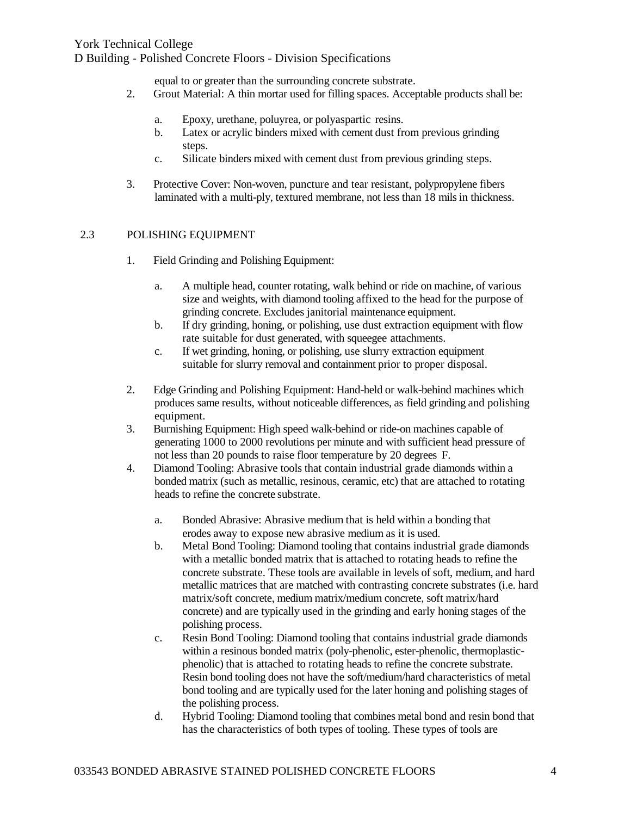# York Technical College D Building - Polished Concrete Floors - Division Specifications

equal to or greater than the surrounding concrete substrate.

- 2. Grout Material: A thin mortar used for filling spaces. Acceptable products shall be:
	- a. Epoxy, urethane, poluyrea, or polyaspartic resins.
	- b. Latex or acrylic binders mixed with cement dust from previous grinding steps.
	- c. Silicate binders mixed with cement dust from previous grinding steps.
- 3. Protective Cover: Non-woven, puncture and tear resistant, polypropylene fibers laminated with a multi-ply, textured membrane, not less than 18 mils in thickness.

### 2.3 POLISHING EQUIPMENT

- 1. Field Grinding and Polishing Equipment:
	- a. A multiple head, counter rotating, walk behind or ride on machine, of various size and weights, with diamond tooling affixed to the head for the purpose of grinding concrete. Excludes janitorial maintenance equipment.
	- b. If dry grinding, honing, or polishing, use dust extraction equipment with flow rate suitable for dust generated, with squeegee attachments.
	- c. If wet grinding, honing, or polishing, use slurry extraction equipment suitable for slurry removal and containment prior to proper disposal.
- 2. Edge Grinding and Polishing Equipment: Hand-held or walk-behind machines which produces same results, without noticeable differences, as field grinding and polishing equipment.
- 3. Burnishing Equipment: High speed walk-behind or ride-on machines capable of generating 1000 to 2000 revolutions per minute and with sufficient head pressure of not less than 20 pounds to raise floor temperature by 20 degrees F.
- 4. Diamond Tooling: Abrasive tools that contain industrial grade diamonds within a bonded matrix (such as metallic, resinous, ceramic, etc) that are attached to rotating heads to refine the concrete substrate.
	- a. Bonded Abrasive: Abrasive medium that is held within a bonding that erodes away to expose new abrasive medium as it is used.
	- b. Metal Bond Tooling: Diamond tooling that contains industrial grade diamonds with a metallic bonded matrix that is attached to rotating heads to refine the concrete substrate. These tools are available in levels of soft, medium, and hard metallic matrices that are matched with contrasting concrete substrates (i.e. hard matrix/soft concrete, medium matrix/medium concrete, soft matrix/hard concrete) and are typically used in the grinding and early honing stages of the polishing process.
	- c. Resin Bond Tooling: Diamond tooling that contains industrial grade diamonds within a resinous bonded matrix (poly-phenolic, ester-phenolic, thermoplasticphenolic) that is attached to rotating heads to refine the concrete substrate. Resin bond tooling does not have the soft/medium/hard characteristics of metal bond tooling and are typically used for the later honing and polishing stages of the polishing process.
	- d. Hybrid Tooling: Diamond tooling that combines metal bond and resin bond that has the characteristics of both types of tooling. These types of tools are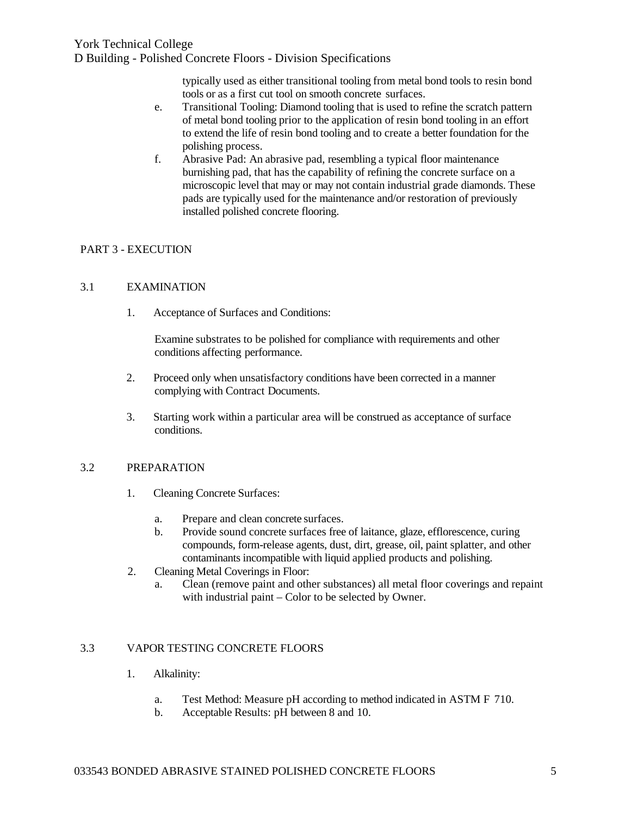typically used as either transitional tooling from metal bond tools to resin bond tools or as a first cut tool on smooth concrete surfaces.

- e. Transitional Tooling: Diamond tooling that is used to refine the scratch pattern of metal bond tooling prior to the application of resin bond tooling in an effort to extend the life of resin bond tooling and to create a better foundation for the polishing process.
- f. Abrasive Pad: An abrasive pad, resembling a typical floor maintenance burnishing pad, that has the capability of refining the concrete surface on a microscopic level that may or may not contain industrial grade diamonds. These pads are typically used for the maintenance and/or restoration of previously installed polished concrete flooring.

## PART 3 - EXECUTION

### 3.1 EXAMINATION

1. Acceptance of Surfaces and Conditions:

Examine substrates to be polished for compliance with requirements and other conditions affecting performance.

- 2. Proceed only when unsatisfactory conditions have been corrected in a manner complying with Contract Documents.
- 3. Starting work within a particular area will be construed as acceptance of surface conditions.

### 3.2 PREPARATION

- 1. Cleaning Concrete Surfaces:
	- a. Prepare and clean concrete surfaces.
	- b. Provide sound concrete surfaces free of laitance, glaze, efflorescence, curing compounds, form-release agents, dust, dirt, grease, oil, paint splatter, and other contaminants incompatible with liquid applied products and polishing.
- 2. Cleaning Metal Coverings in Floor:
	- a. Clean (remove paint and other substances) all metal floor coverings and repaint with industrial paint – Color to be selected by Owner.

### 3.3 VAPOR TESTING CONCRETE FLOORS

- 1. Alkalinity:
	- a. Test Method: Measure pH according to method indicated in ASTM F 710.
	- b. Acceptable Results: pH between 8 and 10.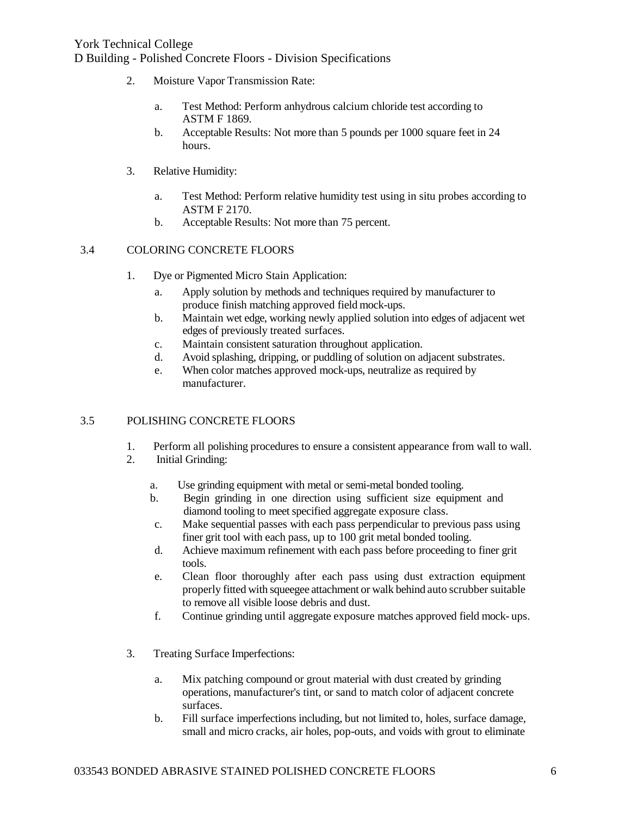- 2. Moisture Vapor Transmission Rate:
	- a. Test Method: Perform anhydrous calcium chloride test according to ASTM F 1869.
	- b. Acceptable Results: Not more than 5 pounds per 1000 square feet in 24 hours.
- 3. Relative Humidity:
	- a. Test Method: Perform relative humidity test using in situ probes according to ASTM F 2170.
	- b. Acceptable Results: Not more than 75 percent.

### 3.4 COLORING CONCRETE FLOORS

- 1. Dye or Pigmented Micro Stain Application:
	- a. Apply solution by methods and techniques required by manufacturer to produce finish matching approved field mock-ups.
	- b. Maintain wet edge, working newly applied solution into edges of adjacent wet edges of previously treated surfaces.
	- c. Maintain consistent saturation throughout application.
	- d. Avoid splashing, dripping, or puddling of solution on adjacent substrates.
	- e. When color matches approved mock-ups, neutralize as required by manufacturer.

### 3.5 POLISHING CONCRETE FLOORS

- 1. Perform all polishing procedures to ensure a consistent appearance from wall to wall.
- 2. Initial Grinding:
	- a. Use grinding equipment with metal or semi-metal bonded tooling.
	- b. Begin grinding in one direction using sufficient size equipment and diamond tooling to meet specified aggregate exposure class.
	- c. Make sequential passes with each pass perpendicular to previous pass using finer grit tool with each pass, up to 100 grit metal bonded tooling.
	- d. Achieve maximum refinement with each pass before proceeding to finer grit tools.
	- e. Clean floor thoroughly after each pass using dust extraction equipment properly fitted with squeegee attachment or walk behind auto scrubber suitable to remove all visible loose debris and dust.
	- f. Continue grinding until aggregate exposure matches approved field mock- ups.
- 3. Treating Surface Imperfections:
	- a. Mix patching compound or grout material with dust created by grinding operations, manufacturer's tint, or sand to match color of adjacent concrete surfaces.
	- b. Fill surface imperfections including, but not limited to, holes, surface damage, small and micro cracks, air holes, pop-outs, and voids with grout to eliminate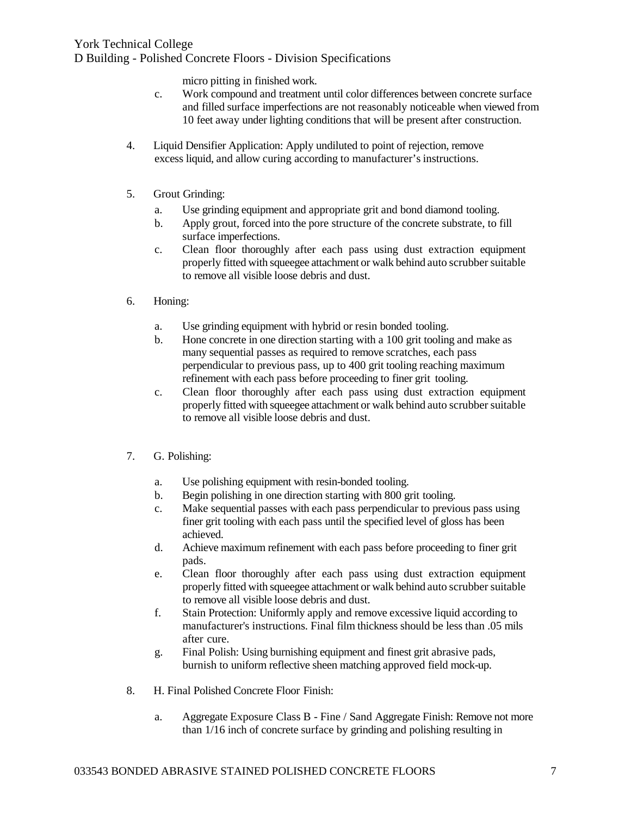micro pitting in finished work.

- c. Work compound and treatment until color differences between concrete surface and filled surface imperfections are not reasonably noticeable when viewed from 10 feet away under lighting conditions that will be present after construction.
- 4. Liquid Densifier Application: Apply undiluted to point of rejection, remove excess liquid, and allow curing according to manufacturer's instructions.
- 5. Grout Grinding:
	- a. Use grinding equipment and appropriate grit and bond diamond tooling.
	- b. Apply grout, forced into the pore structure of the concrete substrate, to fill surface imperfections.
	- c. Clean floor thoroughly after each pass using dust extraction equipment properly fitted with squeegee attachment or walk behind auto scrubber suitable to remove all visible loose debris and dust.
- 6. Honing:
	- a. Use grinding equipment with hybrid or resin bonded tooling.
	- b. Hone concrete in one direction starting with a 100 grit tooling and make as many sequential passes as required to remove scratches, each pass perpendicular to previous pass, up to 400 grit tooling reaching maximum refinement with each pass before proceeding to finer grit tooling.
	- c. Clean floor thoroughly after each pass using dust extraction equipment properly fitted with squeegee attachment or walk behind auto scrubber suitable to remove all visible loose debris and dust.
- 7. G. Polishing:
	- a. Use polishing equipment with resin-bonded tooling.
	- b. Begin polishing in one direction starting with 800 grit tooling.
	- c. Make sequential passes with each pass perpendicular to previous pass using finer grit tooling with each pass until the specified level of gloss has been achieved.
	- d. Achieve maximum refinement with each pass before proceeding to finer grit pads.
	- e. Clean floor thoroughly after each pass using dust extraction equipment properly fitted with squeegee attachment or walk behind auto scrubber suitable to remove all visible loose debris and dust.
	- f. Stain Protection: Uniformly apply and remove excessive liquid according to manufacturer's instructions. Final film thickness should be less than .05 mils after cure.
	- g. Final Polish: Using burnishing equipment and finest grit abrasive pads, burnish to uniform reflective sheen matching approved field mock-up.
- 8. H. Final Polished Concrete Floor Finish:
	- a. Aggregate Exposure Class B Fine / Sand Aggregate Finish: Remove not more than 1/16 inch of concrete surface by grinding and polishing resulting in